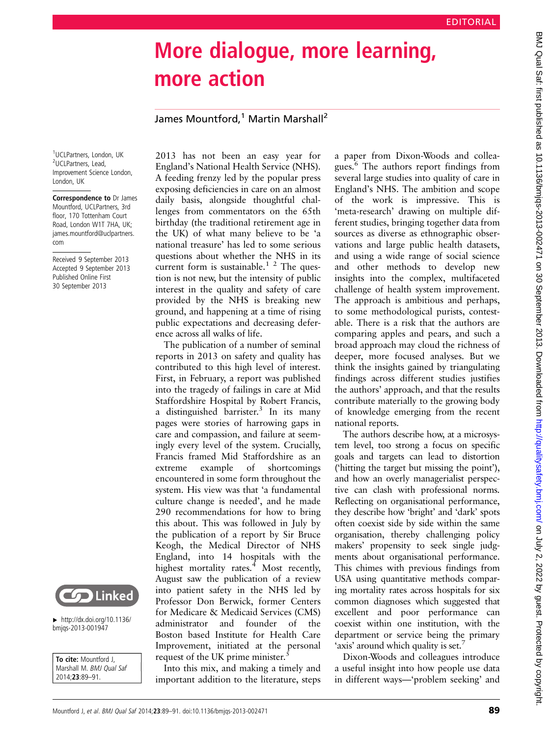## More dialogue, more learning, more action

## James Mountford,<sup>1</sup> Martin Marshall<sup>2</sup>

1 UCLPartners, London, UK <sup>2</sup>UCLPartners, Lead, Improvement Science London, London, UK

Correspondence to Dr James Mountford, UCLPartners, 3rd floor, 170 Tottenham Court Road, London W1T 7HA, UK; james.mountford@uclpartners. com

Received 9 September 2013 Accepted 9 September 2013 Published Online First 30 September 2013



 $\blacktriangleright$  [http://dx.doi.org/10.1136/](http://dx.doi.org/10.1136/bmjqs-2013-001947) [bmjqs-2013-001947](http://dx.doi.org/10.1136/bmjqs-2013-001947)

To cite: Mountford J, Marshall M. BMJ Qual Saf 2014;23:89–91.

2013 has not been an easy year for England's National Health Service (NHS). A feeding frenzy led by the popular press exposing deficiencies in care on an almost daily basis, alongside thoughtful challenges from commentators on the 65th birthday (the traditional retirement age in the UK) of what many believe to be 'a national treasure' has led to some serious questions about whether the NHS in its current form is sustainable.<sup>1</sup>  $2$  The question is not new, but the intensity of public interest in the quality and safety of care provided by the NHS is breaking new ground, and happening at a time of rising public expectations and decreasing deference across all walks of life.

The publication of a number of seminal reports in 2013 on safety and quality has contributed to this high level of interest. First, in February, a report was published into the tragedy of failings in care at Mid Staffordshire Hospital by Robert Francis, a distinguished barrister.<sup>3</sup> In its many pages were stories of harrowing gaps in care and compassion, and failure at seemingly every level of the system. Crucially, Francis framed Mid Staffordshire as an extreme example of shortcomings encountered in some form throughout the system. His view was that 'a fundamental culture change is needed', and he made 290 recommendations for how to bring this about. This was followed in July by the publication of a report by Sir Bruce Keogh, the Medical Director of NHS England, into 14 hospitals with the highest mortality rates.<sup>4</sup> Most recently, August saw the publication of a review into patient safety in the NHS led by Professor Don Berwick, former Centers for Medicare & Medicaid Services (CMS) administrator and founder of the Boston based Institute for Health Care Improvement, initiated at the personal request of the UK prime minister.

Into this mix, and making a timely and important addition to the literature, steps

a paper from Dixon-Woods and colleagues.<sup>6</sup> The authors report findings from several large studies into quality of care in England's NHS. The ambition and scope of the work is impressive. This is 'meta-research' drawing on multiple different studies, bringing together data from sources as diverse as ethnographic observations and large public health datasets, and using a wide range of social science and other methods to develop new insights into the complex, multifaceted challenge of health system improvement. The approach is ambitious and perhaps, to some methodological purists, contestable. There is a risk that the authors are comparing apples and pears, and such a broad approach may cloud the richness of deeper, more focused analyses. But we think the insights gained by triangulating findings across different studies justifies the authors' approach, and that the results contribute materially to the growing body of knowledge emerging from the recent national reports.

The authors describe how, at a microsystem level, too strong a focus on specific goals and targets can lead to distortion ('hitting the target but missing the point'), and how an overly managerialist perspective can clash with professional norms. Reflecting on organisational performance, they describe how 'bright' and 'dark' spots often coexist side by side within the same organisation, thereby challenging policy makers' propensity to seek single judgments about organisational performance. This chimes with previous findings from USA using quantitative methods comparing mortality rates across hospitals for six common diagnoses which suggested that excellent and poor performance can coexist within one institution, with the department or service being the primary 'axis' around which quality is set.'

Dixon-Woods and colleagues introduce a useful insight into how people use data in different ways—'problem seeking' and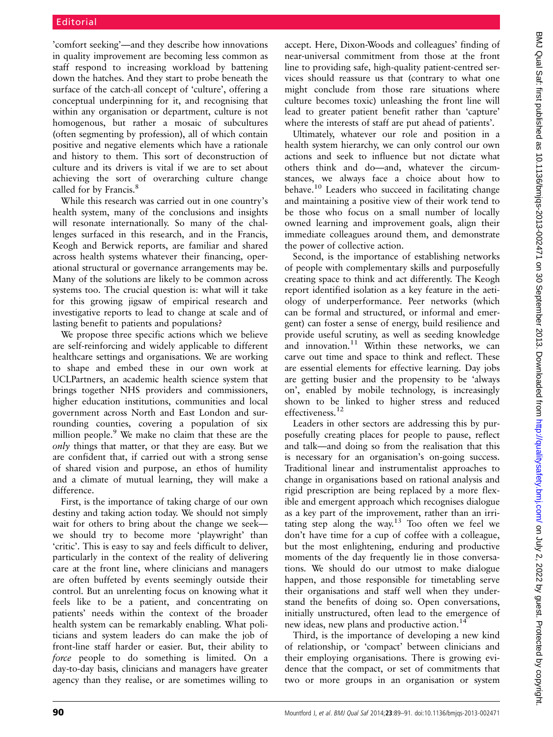'comfort seeking'—and they describe how innovations in quality improvement are becoming less common as staff respond to increasing workload by battening down the hatches. And they start to probe beneath the surface of the catch-all concept of 'culture', offering a conceptual underpinning for it, and recognising that within any organisation or department, culture is not homogenous, but rather a mosaic of subcultures (often segmenting by profession), all of which contain positive and negative elements which have a rationale and history to them. This sort of deconstruction of culture and its drivers is vital if we are to set about achieving the sort of overarching culture change called for by Francis.<sup>8</sup>

While this research was carried out in one country's health system, many of the conclusions and insights will resonate internationally. So many of the challenges surfaced in this research, and in the Francis, Keogh and Berwick reports, are familiar and shared across health systems whatever their financing, operational structural or governance arrangements may be. Many of the solutions are likely to be common across systems too. The crucial question is: what will it take for this growing jigsaw of empirical research and investigative reports to lead to change at scale and of lasting benefit to patients and populations?

We propose three specific actions which we believe are self-reinforcing and widely applicable to different healthcare settings and organisations. We are working to shape and embed these in our own work at UCLPartners, an academic health science system that brings together NHS providers and commissioners, higher education institutions, communities and local government across North and East London and surrounding counties, covering a population of six million people. $9$  We make no claim that these are the only things that matter, or that they are easy. But we are confident that, if carried out with a strong sense of shared vision and purpose, an ethos of humility and a climate of mutual learning, they will make a difference.

First, is the importance of taking charge of our own destiny and taking action today. We should not simply wait for others to bring about the change we seek we should try to become more 'playwright' than 'critic'. This is easy to say and feels difficult to deliver, particularly in the context of the reality of delivering care at the front line, where clinicians and managers are often buffeted by events seemingly outside their control. But an unrelenting focus on knowing what it feels like to be a patient, and concentrating on patients' needs within the context of the broader health system can be remarkably enabling. What politicians and system leaders do can make the job of front-line staff harder or easier. But, their ability to force people to do something is limited. On a day-to-day basis, clinicians and managers have greater agency than they realise, or are sometimes willing to

accept. Here, Dixon-Woods and colleagues' finding of near-universal commitment from those at the front line to providing safe, high-quality patient-centred services should reassure us that (contrary to what one might conclude from those rare situations where culture becomes toxic) unleashing the front line will lead to greater patient benefit rather than 'capture' where the interests of staff are put ahead of patients'.

Ultimately, whatever our role and position in a health system hierarchy, we can only control our own actions and seek to influence but not dictate what others think and do—and, whatever the circumstances, we always face a choice about how to behave.<sup>10</sup> Leaders who succeed in facilitating change and maintaining a positive view of their work tend to be those who focus on a small number of locally owned learning and improvement goals, align their immediate colleagues around them, and demonstrate the power of collective action.

Second, is the importance of establishing networks of people with complementary skills and purposefully creating space to think and act differently. The Keogh report identified isolation as a key feature in the aetiology of underperformance. Peer networks (which can be formal and structured, or informal and emergent) can foster a sense of energy, build resilience and provide useful scrutiny, as well as seeding knowledge and innovation.<sup>11</sup> Within these networks, we can carve out time and space to think and reflect. These are essential elements for effective learning. Day jobs are getting busier and the propensity to be 'always on', enabled by mobile technology, is increasingly shown to be linked to higher stress and reduced effectiveness.<sup>12</sup>

Leaders in other sectors are addressing this by purposefully creating places for people to pause, reflect and talk—and doing so from the realisation that this is necessary for an organisation's on-going success. Traditional linear and instrumentalist approaches to change in organisations based on rational analysis and rigid prescription are being replaced by a more flexible and emergent approach which recognises dialogue as a key part of the improvement, rather than an irritating step along the way.<sup>13</sup> Too often we feel we don't have time for a cup of coffee with a colleague, but the most enlightening, enduring and productive moments of the day frequently lie in those conversations. We should do our utmost to make dialogue happen, and those responsible for timetabling serve their organisations and staff well when they understand the benefits of doing so. Open conversations, initially unstructured, often lead to the emergence of new ideas, new plans and productive action.<sup>14</sup>

Third, is the importance of developing a new kind of relationship, or 'compact' between clinicians and their employing organisations. There is growing evidence that the compact, or set of commitments that two or more groups in an organisation or system